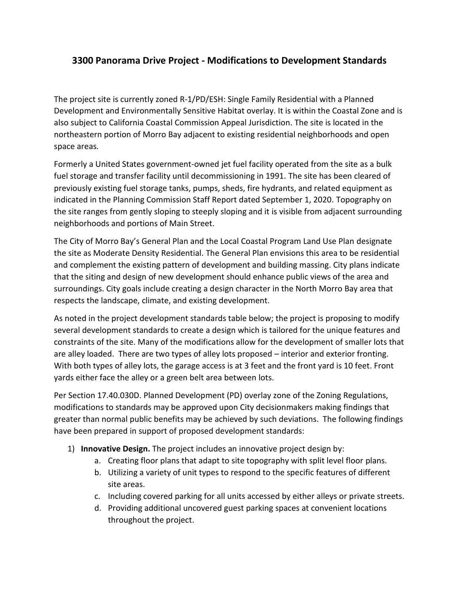## **3300 Panorama Drive Project - Modifications to Development Standards**

The project site is currently zoned R‐1/PD/ESH: Single Family Residential with a Planned Development and Environmentally Sensitive Habitat overlay. It is within the Coastal Zone and is also subject to California Coastal Commission Appeal Jurisdiction. The site is located in the northeastern portion of Morro Bay adjacent to existing residential neighborhoods and open space areas*.*

Formerly a United States government-owned jet fuel facility operated from the site as a bulk fuel storage and transfer facility until decommissioning in 1991. The site has been cleared of previously existing fuel storage tanks, pumps, sheds, fire hydrants, and related equipment as indicated in the Planning Commission Staff Report dated September 1, 2020. Topography on the site ranges from gently sloping to steeply sloping and it is visible from adjacent surrounding neighborhoods and portions of Main Street.

The City of Morro Bay's General Plan and the Local Coastal Program Land Use Plan designate the site as Moderate Density Residential. The General Plan envisions this area to be residential and complement the existing pattern of development and building massing. City plans indicate that the siting and design of new development should enhance public views of the area and surroundings. City goals include creating a design character in the North Morro Bay area that respects the landscape, climate, and existing development.

As noted in the project development standards table below; the project is proposing to modify several development standards to create a design which is tailored for the unique features and constraints of the site. Many of the modifications allow for the development of smaller lots that are alley loaded. There are two types of alley lots proposed – interior and exterior fronting. With both types of alley lots, the garage access is at 3 feet and the front yard is 10 feet. Front yards either face the alley or a green belt area between lots.

Per Section 17.40.030D. Planned Development (PD) overlay zone of the Zoning Regulations, modifications to standards may be approved upon City decisionmakers making findings that greater than normal public benefits may be achieved by such deviations. The following findings have been prepared in support of proposed development standards:

- 1) **Innovative Design.** The project includes an innovative project design by:
	- a. Creating floor plans that adapt to site topography with split level floor plans.
	- b. Utilizing a variety of unit types to respond to the specific features of different site areas.
	- c. Including covered parking for all units accessed by either alleys or private streets.
	- d. Providing additional uncovered guest parking spaces at convenient locations throughout the project.